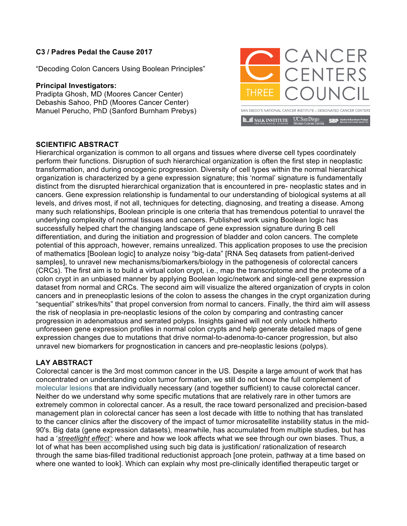## **C3 / Padres Pedal the Cause 2017**

"Decoding Colon Cancers Using Boolean Principles"

## **Principal Investigators:**

Pradipta Ghosh, MD (Moores Cancer Center) Debashis Sahoo, PhD (Moores Cancer Center) Manuel Perucho, PhD (Sanford Burnham Prebys)



## **SCIENTIFIC ABSTRACT**

Hierarchical organization is common to all organs and tissues where diverse cell types coordinately perform their functions. Disruption of such hierarchical organization is often the first step in neoplastic transformation, and during oncogenic progression. Diversity of cell types within the normal hierarchical organization is characterized by a gene expression signature; this 'normal' signature is fundamentally distinct from the disrupted hierarchical organization that is encountered in pre- neoplastic states and in cancers. Gene expression relationship is fundamental to our understanding of biological systems at all levels, and drives most, if not all, techniques for detecting, diagnosing, and treating a disease. Among many such relationships, Boolean principle is one criteria that has tremendous potential to unravel the underlying complexity of normal tissues and cancers. Published work using Boolean logic has successfully helped chart the changing landscape of gene expression signature during B cell differentiation, and during the initiation and progression of bladder and colon cancers. The complete potential of this approach, however, remains unrealized. This application proposes to use the precision of mathematics [Boolean logic] to analyze noisy "big-data" [RNA Seq datasets from patient-derived samples], to unravel new mechanisms/biomarkers/biology in the pathogenesis of colorectal cancers (CRCs). The first aim is to build a virtual colon crypt, i.e., map the transcriptome and the proteome of a colon crypt in an unbiased manner by applying Boolean logic/network and single-cell gene expression dataset from normal and CRCs. The second aim will visualize the altered organization of crypts in colon cancers and in preneoplastic lesions of the colon to assess the changes in the crypt organization during "sequential" strikes/hits" that propel conversion from normal to cancers. Finally, the third aim will assess the risk of neoplasia in pre-neoplastic lesions of the colon by comparing and contrasting cancer progression in adenomatous and serrated polyps. Insights gained will not only unlock hitherto unforeseen gene expression profiles in normal colon crypts and help generate detailed maps of gene expression changes due to mutations that drive normal-to-adenoma-to-cancer progression, but also unravel new biomarkers for prognostication in cancers and pre-neoplastic lesions (polyps).

## **LAY ABSTRACT**

Colorectal cancer is the 3rd most common cancer in the US. Despite a large amount of work that has concentrated on understanding colon tumor formation, we still do not know the full complement of molecular lesions that are individually necessary (and together sufficient) to cause colorectal cancer. Neither do we understand why some specific mutations that are relatively rare in other tumors are extremely common in colorectal cancer. As a result, the race toward personalized and precision-based management plan in colorectal cancer has seen a lost decade with little to nothing that has translated to the cancer clinics after the discovery of the impact of tumor microsatellite instability status in the mid-90's. Big data (gene expression datasets), meanwhile, has accumulated from multiple studies, but has had a '*streetlight effect'*: where and how we look affects what we see through our own biases. Thus, a lot of what has been accomplished using such big data is justification/ rationalization of research through the same bias-filled traditional reductionist approach [one protein, pathway at a time based on where one wanted to look]. Which can explain why most pre-clinically identified therapeutic target or